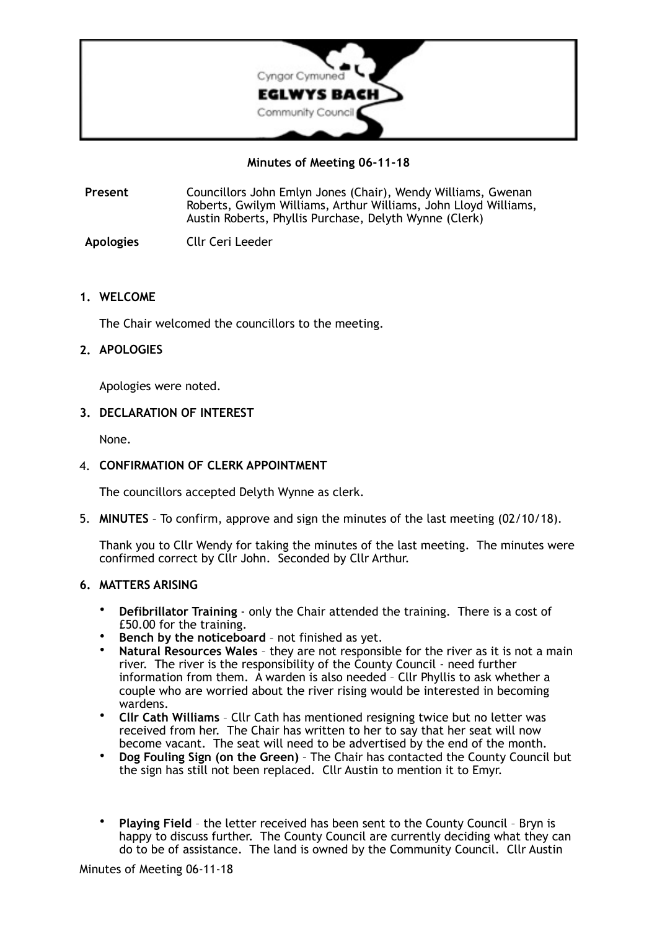

**Minutes of Meeting 06-11-18** 

- **Present** Councillors John Emlyn Jones (Chair), Wendy Williams, Gwenan Roberts, Gwilym Williams, Arthur Williams, John Lloyd Williams, Austin Roberts, Phyllis Purchase, Delyth Wynne (Clerk)
- **Apologies** Cllr Ceri Leeder

## **1. WELCOME**

The Chair welcomed the councillors to the meeting.

# **2. APOLOGIES**

Apologies were noted.

## **3. DECLARATION OF INTEREST**

None.

## 4. **CONFIRMATION OF CLERK APPOINTMENT**

The councillors accepted Delyth Wynne as clerk.

5. **MINUTES** – To confirm, approve and sign the minutes of the last meeting (02/10/18).

Thank you to Cllr Wendy for taking the minutes of the last meeting. The minutes were confirmed correct by Cllr John. Seconded by Cllr Arthur.

## **6. MATTERS ARISING**

- **Defibrillator Training** only the Chair attended the training. There is a cost of £50.00 for the training.
- **Bench by the noticeboard** not finished as yet.
- Natural Resources Wales they are not responsible for the river as it is not a main river. The river is the responsibility of the County Council - need further information from them. A warden is also needed – Cllr Phyllis to ask whether a couple who are worried about the river rising would be interested in becoming wardens.
- **Cllr Cath Williams** Cllr Cath has mentioned resigning twice but no letter was received from her. The Chair has written to her to say that her seat will now become vacant. The seat will need to be advertised by the end of the month.
- **Dog Fouling Sign (on the Green)** The Chair has contacted the County Council but the sign has still not been replaced. Cllr Austin to mention it to Emyr.
- **Playing Field**  the letter received has been sent to the County Council Bryn is happy to discuss further. The County Council are currently deciding what they can do to be of assistance. The land is owned by the Community Council. Cllr Austin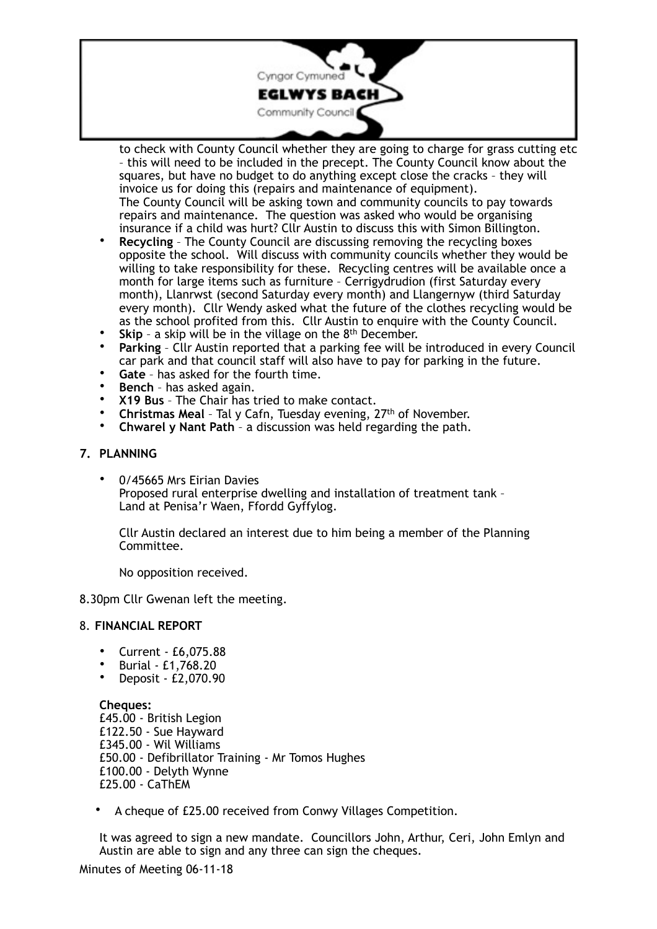

to check with County Council whether they are going to charge for grass cutting etc – this will need to be included in the precept. The County Council know about the squares, but have no budget to do anything except close the cracks – they will invoice us for doing this (repairs and maintenance of equipment). The County Council will be asking town and community councils to pay towards repairs and maintenance. The question was asked who would be organising insurance if a child was hurt? Cllr Austin to discuss this with Simon Billington.

- **Recycling** The County Council are discussing removing the recycling boxes opposite the school. Will discuss with community councils whether they would be willing to take responsibility for these. Recycling centres will be available once a month for large items such as furniture – Cerrigydrudion (first Saturday every month), Llanrwst (second Saturday every month) and Llangernyw (third Saturday every month). Cllr Wendy asked what the future of the clothes recycling would be as the school profited from this. Cllr Austin to enquire with the County Council.
- **Skip** a skip will be in the village on the 8<sup>th</sup> December.
- **Parking** Cllr Austin reported that a parking fee will be introduced in every Council car park and that council staff will also have to pay for parking in the future.
- **Gate**  has asked for the fourth time.
- **Bench** has asked again.
- **X19 Bus** The Chair has tried to make contact.
- **Christmas Meal** Tal y Cafn, Tuesday evening, 27<sup>th</sup> of November.<br>• Chwarel y Nant Path a discussion was held regarding the path
- **Chwarel y Nant Path** a discussion was held regarding the path.

### **7. PLANNING**

• 0/45665 Mrs Eirian Davies Proposed rural enterprise dwelling and installation of treatment tank – Land at Penisa'r Waen, Ffordd Gyffylog.

Cllr Austin declared an interest due to him being a member of the Planning Committee.

No opposition received.

8.30pm Cllr Gwenan left the meeting.

#### 8. **FINANCIAL REPORT**

- Current £6,075.88
- Burial £1,768.20
- Deposit £2,070.90

**Cheques:**  £45.00 - British Legion £122.50 - Sue Hayward £345.00 - Wil Williams £50.00 - Defibrillator Training - Mr Tomos Hughes £100.00 - Delyth Wynne £25.00 - CaThEM

• A cheque of £25.00 received from Conwy Villages Competition.

It was agreed to sign a new mandate. Councillors John, Arthur, Ceri, John Emlyn and Austin are able to sign and any three can sign the cheques.